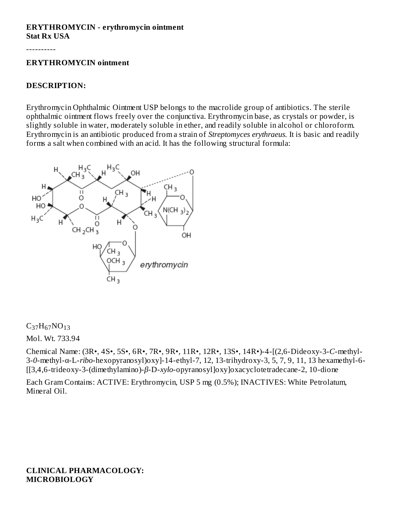#### **ERYTHROMYCIN - erythromycin ointment Stat Rx USA**

----------

#### **ERYTHROMYCIN ointment**

#### **DESCRIPTION:**

Erythromycin Ophthalmic Ointment USP belongs to the macrolide group of antibiotics. The sterile ophthalmic ointment flows freely over the conjunctiva. Erythromycin base, as crystals or powder, is slightly soluble in water, moderately soluble in ether, and readily soluble in alcohol or chloroform. Erythromycin is an antibiotic produced from a strain of *Streptomyces erythraeus.* It is basic and readily forms a salt when combined with an acid. It has the following structural formula:



# $C_{37}H_{67}NO_{13}$

Mol. Wt. 733.94

Chemical Name: (3R•, 4S•, 5S•, 6R•, 7R•, 9R•, 11R•, 12R•, 13S•, 14R•)-4-[(2,6-Dideoxy-3-*C*-methyl-3-*0*-methyl-α-L-*ribo*-hexopyranosyl)oxy]-14-ethyl-7, 12, 13-trihydroxy-3, 5, 7, 9, 11, 13 hexamethyl-6- [[3,4,6-trideoxy-3-(dimethylamino)-*β*-D-*xylo*-opyranosyl]oxy]oxacyclotetradecane-2, 10-dione

Each Gram Contains: ACTIVE: Erythromycin, USP 5 mg (0.5%); INACTIVES: White Petrolatum, Mineral Oil.

**CLINICAL PHARMACOLOGY: MICROBIOLOGY**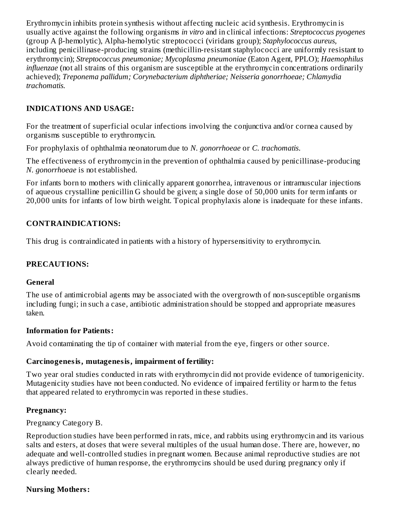Erythromycin inhibits protein synthesis without affecting nucleic acid synthesis. Erythromycin is usually active against the following organisms *in vitro* and in clinical infections: *Streptococcus pyogenes* (group A β-hemolytic), Alpha-hemolytic streptococci (viridans group); *Staphylococcus aureus,* including penicillinase-producing strains (methicillin-resistant staphylococci are uniformly resistant to erythromycin); *Streptococcus pneumoniae; Mycoplasma pneumoniae* (Eaton Agent, PPLO); *Haemophilus influenzae* (not all strains of this organism are susceptible at the erythromycin concentrations ordinarily achieved); *Treponema pallidum; Corynebacterium diphtheriae; Neisseria gonorrhoeae; Chlamydia trachomatis.*

# **INDICATIONS AND USAGE:**

For the treatment of superficial ocular infections involving the conjunctiva and/or cornea caused by organisms susceptible to erythromycin.

For prophylaxis of ophthalmia neonatorum due to *N. gonorrhoeae* or *C. trachomatis*.

The effectiveness of erythromycin in the prevention of ophthalmia caused by penicillinase-producing *N. gonorrhoeae* is not established.

For infants born to mothers with clinically apparent gonorrhea, intravenous or intramuscular injections of aqueous crystalline penicillin G should be given; a single dose of 50,000 units for term infants or 20,000 units for infants of low birth weight. Topical prophylaxis alone is inadequate for these infants.

# **CONTRAINDICATIONS:**

This drug is contraindicated in patients with a history of hypersensitivity to erythromycin.

# **PRECAUTIONS:**

#### **General**

The use of antimicrobial agents may be associated with the overgrowth of non-susceptible organisms including fungi; in such a case, antibiotic administration should be stopped and appropriate measures taken.

#### **Information for Patients:**

Avoid contaminating the tip of container with material from the eye, fingers or other source.

#### **Carcinogenesis, mutagenesis, impairment of fertility:**

Two year oral studies conducted in rats with erythromycin did not provide evidence of tumorigenicity. Mutagenicity studies have not been conducted. No evidence of impaired fertility or harm to the fetus that appeared related to erythromycin was reported in these studies.

# **Pregnancy:**

Pregnancy Category B.

Reproduction studies have been performed in rats, mice, and rabbits using erythromycin and its various salts and esters, at doses that were several multiples of the usual human dose. There are, however, no adequate and well-controlled studies in pregnant women. Because animal reproductive studies are not always predictive of human response, the erythromycins should be used during pregnancy only if clearly needed.

# **Nursing Mothers:**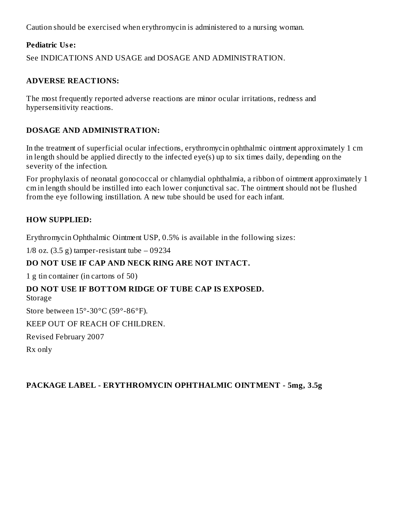Caution should be exercised when erythromycin is administered to a nursing woman.

# **Pediatric Us e:**

See INDICATIONS AND USAGE and DOSAGE AND ADMINISTRATION.

#### **ADVERSE REACTIONS:**

The most frequently reported adverse reactions are minor ocular irritations, redness and hypersensitivity reactions.

#### **DOSAGE AND ADMINISTRATION:**

In the treatment of superficial ocular infections, erythromycin ophthalmic ointment approximately 1 cm in length should be applied directly to the infected eye(s) up to six times daily, depending on the severity of the infection.

For prophylaxis of neonatal gonococcal or chlamydial ophthalmia, a ribbon of ointment approximately 1 cm in length should be instilled into each lower conjunctival sac. The ointment should not be flushed from the eye following instillation. A new tube should be used for each infant.

#### **HOW SUPPLIED:**

Erythromycin Ophthalmic Ointment USP, 0.5% is available in the following sizes:

 $1/8$  oz.  $(3.5 g)$  tamper-resistant tube  $-09234$ 

# **DO NOT USE IF CAP AND NECK RING ARE NOT INTACT.**

1 g tin container (in cartons of 50)

# **DO NOT USE IF BOTTOM RIDGE OF TUBE CAP IS EXPOSED.**

Storage

Store between 15°-30°C (59°-86°F).

KEEP OUT OF REACH OF CHILDREN.

Revised February 2007

Rx only

#### **PACKAGE LABEL - ERYTHROMYCIN OPHTHALMIC OINTMENT - 5mg, 3.5g**